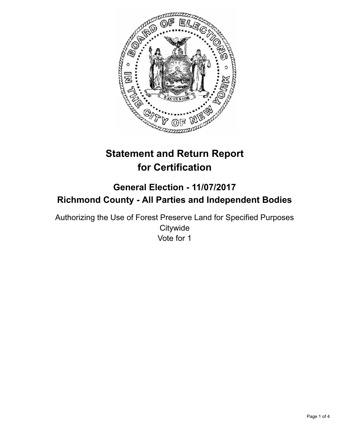

# **Statement and Return Report for Certification**

# **General Election - 11/07/2017 Richmond County - All Parties and Independent Bodies**

Authorizing the Use of Forest Preserve Land for Specified Purposes **Citywide** Vote for 1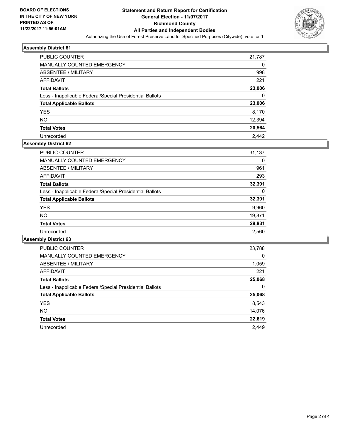

#### **Assembly District 61**

| <b>PUBLIC COUNTER</b>                                    | 21,787 |
|----------------------------------------------------------|--------|
| MANUALLY COUNTED EMERGENCY                               | 0      |
| ABSENTEE / MILITARY                                      | 998    |
| AFFIDAVIT                                                | 221    |
| <b>Total Ballots</b>                                     | 23,006 |
| Less - Inapplicable Federal/Special Presidential Ballots | 0      |
| <b>Total Applicable Ballots</b>                          | 23,006 |
| <b>YES</b>                                               | 8,170  |
| <b>NO</b>                                                | 12,394 |
| <b>Total Votes</b>                                       | 20,564 |
| Unrecorded                                               | 2.442  |

# **Assembly District 62**

| <b>PUBLIC COUNTER</b>                                    | 31,137 |
|----------------------------------------------------------|--------|
| <b>MANUALLY COUNTED EMERGENCY</b>                        | 0      |
| ABSENTEE / MILITARY                                      | 961    |
| AFFIDAVIT                                                | 293    |
| <b>Total Ballots</b>                                     | 32,391 |
| Less - Inapplicable Federal/Special Presidential Ballots | 0      |
| <b>Total Applicable Ballots</b>                          | 32,391 |
| <b>YES</b>                                               | 9,960  |
| <b>NO</b>                                                | 19,871 |
| <b>Total Votes</b>                                       | 29,831 |
| Unrecorded                                               | 2,560  |

# **Assembly District 63**

| <b>PUBLIC COUNTER</b>                                    | 23,788 |
|----------------------------------------------------------|--------|
| <b>MANUALLY COUNTED EMERGENCY</b>                        | 0      |
| ABSENTEE / MILITARY                                      | 1,059  |
| AFFIDAVIT                                                | 221    |
| <b>Total Ballots</b>                                     | 25,068 |
| Less - Inapplicable Federal/Special Presidential Ballots | 0      |
| <b>Total Applicable Ballots</b>                          | 25,068 |
| <b>YES</b>                                               | 8,543  |
| NO.                                                      | 14,076 |
| <b>Total Votes</b>                                       | 22,619 |
| Unrecorded                                               | 2.449  |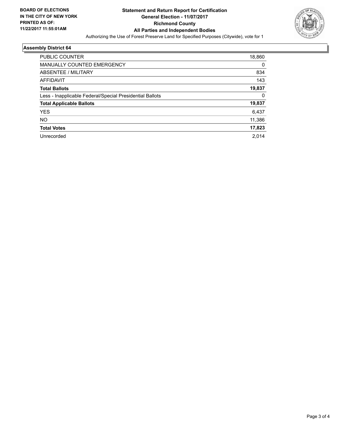

# **Assembly District 64**

| <b>PUBLIC COUNTER</b>                                    | 18,860 |
|----------------------------------------------------------|--------|
| <b>MANUALLY COUNTED EMERGENCY</b>                        | 0      |
| ABSENTEE / MILITARY                                      | 834    |
| <b>AFFIDAVIT</b>                                         | 143    |
| <b>Total Ballots</b>                                     | 19,837 |
| Less - Inapplicable Federal/Special Presidential Ballots | 0      |
| <b>Total Applicable Ballots</b>                          | 19,837 |
| <b>YES</b>                                               | 6,437  |
| NO.                                                      | 11,386 |
| <b>Total Votes</b>                                       | 17,823 |
| Unrecorded                                               | 2,014  |
|                                                          |        |